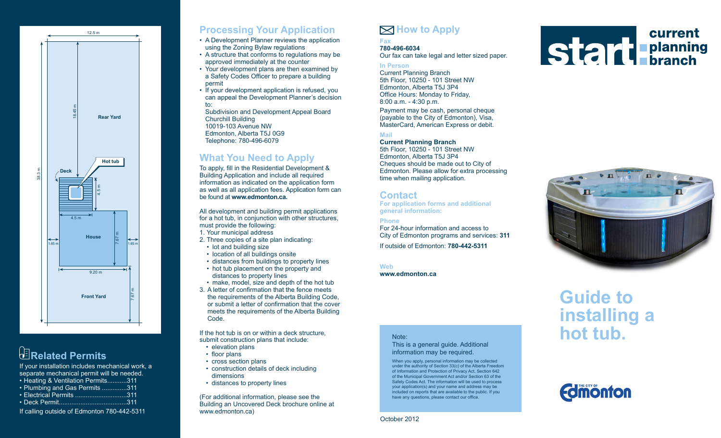

# *<u><b>B</u>***Related Permits**

If your installation includes mechanical work, a separate mechanical permit will be needed.

|  |  |  | • Heating & Ventilation Permits311 |  |
|--|--|--|------------------------------------|--|
|  |  |  |                                    |  |

| • Plumbing and Gas Permits 311 |     |
|--------------------------------|-----|
| $\bullet$ Flectrical Permits.  | 311 |

- Deck Permit......................................311
- If calling outside of Edmonton 780-442-5311

### **Processing Your Application**

- A Development Planner reviews the application using the Zoning Bylaw regulations
- A structure that conforms to regulations may be approved immediately at the counter
- Your development plans are then examined by a Safety Codes Officer to prepare a building permit
- If your development application is refused, you can appeal the Development Planner's decision to:
	- Subdivision and Development Appeal Board Churchill Building 10019-103 Avenue NW Edmonton, Alberta T5J 0G9 Telephone: 780-496-6079

### **What You Need to Apply**

To apply, fill in the Residential Development & Building Application and include all required information as indicated on the application form as well as all application fees. Application form can be found at **www.edmonton.ca.**

All development and building permit applications for a hot tub, in conjunction with other structures, must provide the following:

- 1. Your municipal address
- 2. Three copies of a site plan indicating:
- lot and building size
- location of all buildings onsite
- distances from buildings to property lines
- hot tub placement on the property and distances to property lines
- make, model, size and depth of the hot tub
- 3. A letter of confirmation that the fence meets the requirements of the Alberta Building Code, or submit a letter of confirmation that the cover meets the requirements of the Alberta Building Code.

If the hot tub is on or within a deck structure, submit construction plans that include:

- elevation plans
- floor plans
- cross section plans
- construction details of deck including dimensions
- distances to property lines

(For additional information, please see the Building an Uncovered Deck brochure online at www.edmonton.ca)

# **How to Apply**

#### **Fax 780-496-6034**

Our fax can take legal and letter sized paper.

#### **In Person**

Current Planning Branch 5th Floor, 10250 - 101 Street NW Edmonton, Alberta T5J 3P4 Office Hours: Monday to Friday, 8:00 a.m. - 4:30 p.m. Payment may be cash, personal cheque (payable to the City of Edmonton), Visa, MasterCard, American Express or debit.

#### **Mail**

#### **Current Planning Branch** 5th Floor, 10250 - 101 Street NW Edmonton, Alberta T5J 3P4 Cheques should be made out to City of Edmonton. Please allow for extra processing time when mailing application.

### **Contact**

**For application forms and additional general information:**

### **Phone**

For 24-hour information and access to City of Edmonton programs and services: **311**

If outside of Edmonton: **780-442-5311**

**Web** 

**www.edmonton.ca**





# **Guide to installing a hot tub.**



#### Note:

This is a general guide. Additional information may be required.

When you apply, personal information may be collected under the authority of Section 33(c) of the Alberta Freedom of Information and Protection of Privacy Act, Section 642 of the Municipal Government Act and/or Section 63 of the Safety Codes Act. The information will be used to process your application(s) and your name and address may be included on reports that are available to the public. If you have any questions, please contact our office.